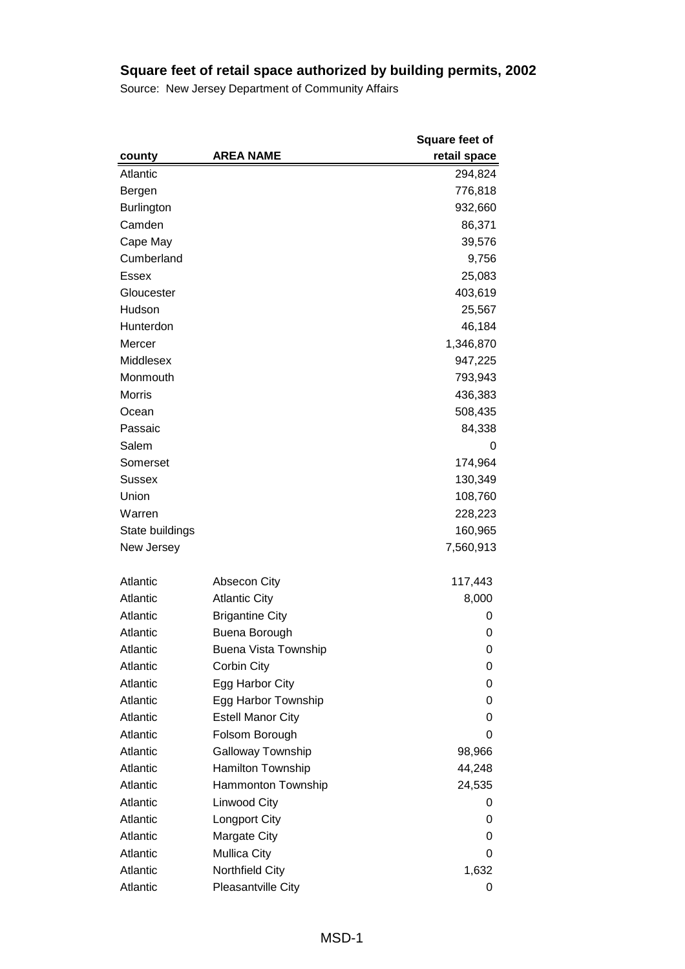|                   |                             | <b>Square feet of</b> |
|-------------------|-----------------------------|-----------------------|
| county            | <b>AREA NAME</b>            | retail space          |
| Atlantic          |                             | 294,824               |
| Bergen            |                             | 776,818               |
| <b>Burlington</b> |                             | 932,660               |
| Camden            |                             | 86,371                |
| Cape May          |                             | 39,576                |
| Cumberland        |                             | 9,756                 |
| <b>Essex</b>      |                             | 25,083                |
| Gloucester        |                             | 403,619               |
| Hudson            |                             | 25,567                |
| Hunterdon         |                             | 46,184                |
| Mercer            |                             | 1,346,870             |
| Middlesex         |                             | 947,225               |
| Monmouth          |                             | 793,943               |
| <b>Morris</b>     |                             | 436,383               |
| Ocean             |                             | 508,435               |
| Passaic           |                             | 84,338                |
| Salem             |                             | 0                     |
| Somerset          |                             | 174,964               |
| <b>Sussex</b>     |                             | 130,349               |
| Union             |                             | 108,760               |
| Warren            |                             | 228,223               |
| State buildings   |                             | 160,965               |
| New Jersey        |                             | 7,560,913             |
| Atlantic          | <b>Absecon City</b>         | 117,443               |
| Atlantic          | <b>Atlantic City</b>        | 8,000                 |
| Atlantic          | <b>Brigantine City</b>      | 0                     |
| Atlantic          | Buena Borough               | 0                     |
| Atlantic          | <b>Buena Vista Township</b> | 0                     |
| Atlantic          | Corbin City                 | 0                     |
| Atlantic          | Egg Harbor City             | 0                     |
| Atlantic          | Egg Harbor Township         | 0                     |
| Atlantic          | <b>Estell Manor City</b>    | 0                     |
| Atlantic          | Folsom Borough              | 0                     |
| Atlantic          | Galloway Township           | 98,966                |
| Atlantic          | Hamilton Township           | 44,248                |
| Atlantic          | Hammonton Township          | 24,535                |
| Atlantic          | Linwood City                | 0                     |
| Atlantic          | <b>Longport City</b>        | 0                     |
| Atlantic          | Margate City                | 0                     |
| Atlantic          | <b>Mullica City</b>         | 0                     |
| Atlantic          | Northfield City             | 1,632                 |
| Atlantic          | Pleasantville City          | 0                     |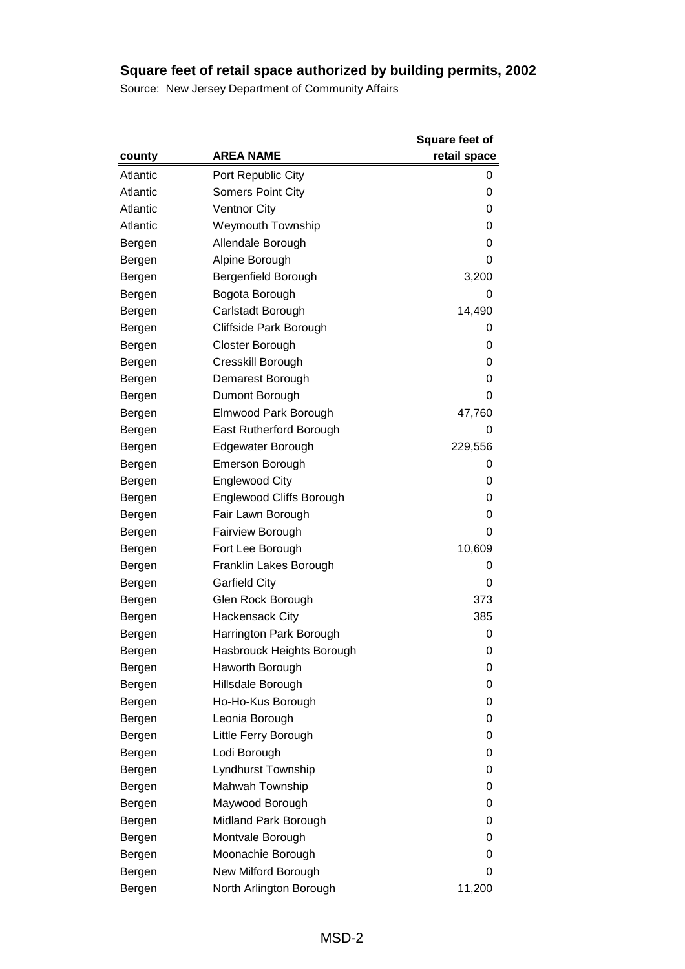|          |                           | <b>Square feet of</b> |
|----------|---------------------------|-----------------------|
| county   | <b>AREA NAME</b>          | retail space          |
| Atlantic | Port Republic City        | 0                     |
| Atlantic | <b>Somers Point City</b>  | 0                     |
| Atlantic | <b>Ventnor City</b>       | 0                     |
| Atlantic | <b>Weymouth Township</b>  | 0                     |
| Bergen   | Allendale Borough         | 0                     |
| Bergen   | Alpine Borough            | 0                     |
| Bergen   | Bergenfield Borough       | 3,200                 |
| Bergen   | Bogota Borough            | 0                     |
| Bergen   | Carlstadt Borough         | 14,490                |
| Bergen   | Cliffside Park Borough    | 0                     |
| Bergen   | Closter Borough           | 0                     |
| Bergen   | Cresskill Borough         | 0                     |
| Bergen   | Demarest Borough          | 0                     |
| Bergen   | Dumont Borough            | 0                     |
| Bergen   | Elmwood Park Borough      | 47,760                |
| Bergen   | East Rutherford Borough   | 0                     |
| Bergen   | Edgewater Borough         | 229,556               |
| Bergen   | <b>Emerson Borough</b>    | 0                     |
| Bergen   | <b>Englewood City</b>     | 0                     |
| Bergen   | Englewood Cliffs Borough  | 0                     |
| Bergen   | Fair Lawn Borough         | 0                     |
| Bergen   | Fairview Borough          | 0                     |
| Bergen   | Fort Lee Borough          | 10,609                |
| Bergen   | Franklin Lakes Borough    | 0                     |
| Bergen   | <b>Garfield City</b>      | 0                     |
| Bergen   | Glen Rock Borough         | 373                   |
| Bergen   | <b>Hackensack City</b>    | 385                   |
| Bergen   | Harrington Park Borough   | 0                     |
| Bergen   | Hasbrouck Heights Borough | 0                     |
| Bergen   | Haworth Borough           | 0                     |
| Bergen   | Hillsdale Borough         | 0                     |
| Bergen   | Ho-Ho-Kus Borough         | 0                     |
| Bergen   | Leonia Borough            | 0                     |
| Bergen   | Little Ferry Borough      | 0                     |
| Bergen   | Lodi Borough              | 0                     |
| Bergen   | Lyndhurst Township        | 0                     |
| Bergen   | Mahwah Township           | 0                     |
| Bergen   | Maywood Borough           | 0                     |
| Bergen   | Midland Park Borough      | 0                     |
| Bergen   | Montvale Borough          | 0                     |
| Bergen   | Moonachie Borough         | 0                     |
| Bergen   | New Milford Borough       | 0                     |
| Bergen   | North Arlington Borough   | 11,200                |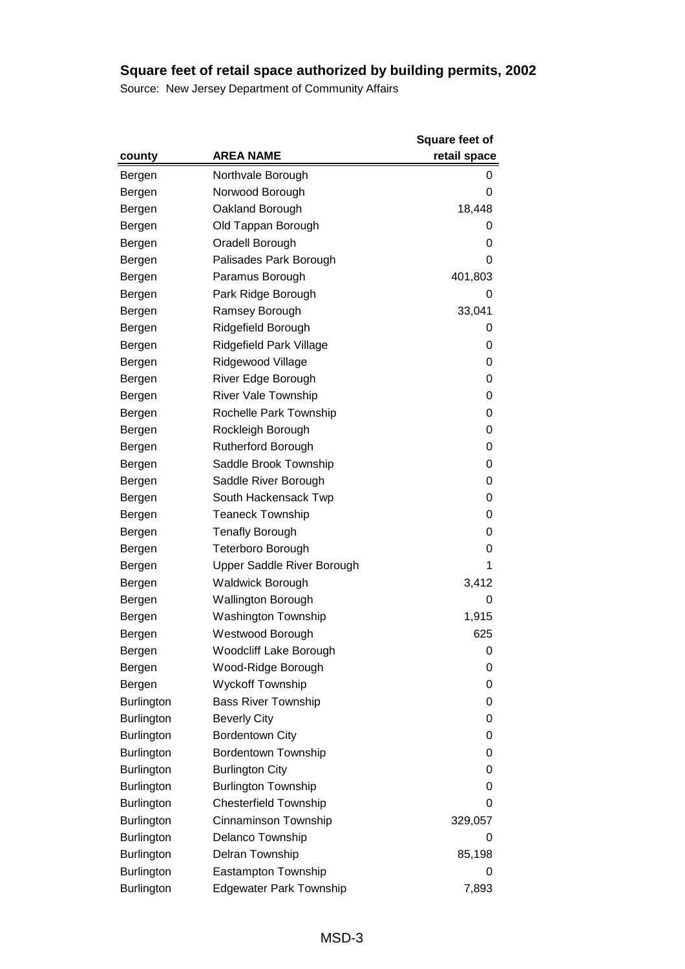|                   |                                | <b>Square feet of</b> |
|-------------------|--------------------------------|-----------------------|
| county            | <b>AREA NAME</b>               | retail space          |
| Bergen            | Northvale Borough              | 0                     |
| Bergen            | Norwood Borough                | 0                     |
| Bergen            | Oakland Borough                | 18,448                |
| Bergen            | Old Tappan Borough             | 0                     |
| Bergen            | Oradell Borough                | 0                     |
| Bergen            | Palisades Park Borough         | 0                     |
| Bergen            | Paramus Borough                | 401,803               |
| Bergen            | Park Ridge Borough             | 0                     |
| Bergen            | Ramsey Borough                 | 33,041                |
| Bergen            | Ridgefield Borough             | 0                     |
| Bergen            | Ridgefield Park Village        | 0                     |
| Bergen            | Ridgewood Village              | 0                     |
| Bergen            | River Edge Borough             | 0                     |
| Bergen            | <b>River Vale Township</b>     | 0                     |
| Bergen            | Rochelle Park Township         | 0                     |
| Bergen            | Rockleigh Borough              | 0                     |
| Bergen            | Rutherford Borough             | 0                     |
| Bergen            | Saddle Brook Township          | 0                     |
| Bergen            | Saddle River Borough           | 0                     |
| Bergen            | South Hackensack Twp           | 0                     |
| Bergen            | <b>Teaneck Township</b>        | 0                     |
| Bergen            | <b>Tenafly Borough</b>         | 0                     |
| Bergen            | Teterboro Borough              | 0                     |
| Bergen            | Upper Saddle River Borough     | 1                     |
| Bergen            | <b>Waldwick Borough</b>        | 3,412                 |
| Bergen            | <b>Wallington Borough</b>      | 0                     |
| Bergen            | <b>Washington Township</b>     | 1,915                 |
| Bergen            | Westwood Borough               | 625                   |
| Bergen            | Woodcliff Lake Borough         | 0                     |
| Bergen            | Wood-Ridge Borough             | 0                     |
| Bergen            | <b>Wyckoff Township</b>        | 0                     |
| <b>Burlington</b> | <b>Bass River Township</b>     | 0                     |
| <b>Burlington</b> | <b>Beverly City</b>            | 0                     |
| <b>Burlington</b> | <b>Bordentown City</b>         | 0                     |
| <b>Burlington</b> | <b>Bordentown Township</b>     | 0                     |
| <b>Burlington</b> | <b>Burlington City</b>         | 0                     |
| <b>Burlington</b> | <b>Burlington Township</b>     | 0                     |
| <b>Burlington</b> | <b>Chesterfield Township</b>   | 0                     |
| <b>Burlington</b> | Cinnaminson Township           | 329,057               |
| <b>Burlington</b> | Delanco Township               | 0                     |
| <b>Burlington</b> | Delran Township                | 85,198                |
| Burlington        | Eastampton Township            | 0                     |
| <b>Burlington</b> | <b>Edgewater Park Township</b> | 7,893                 |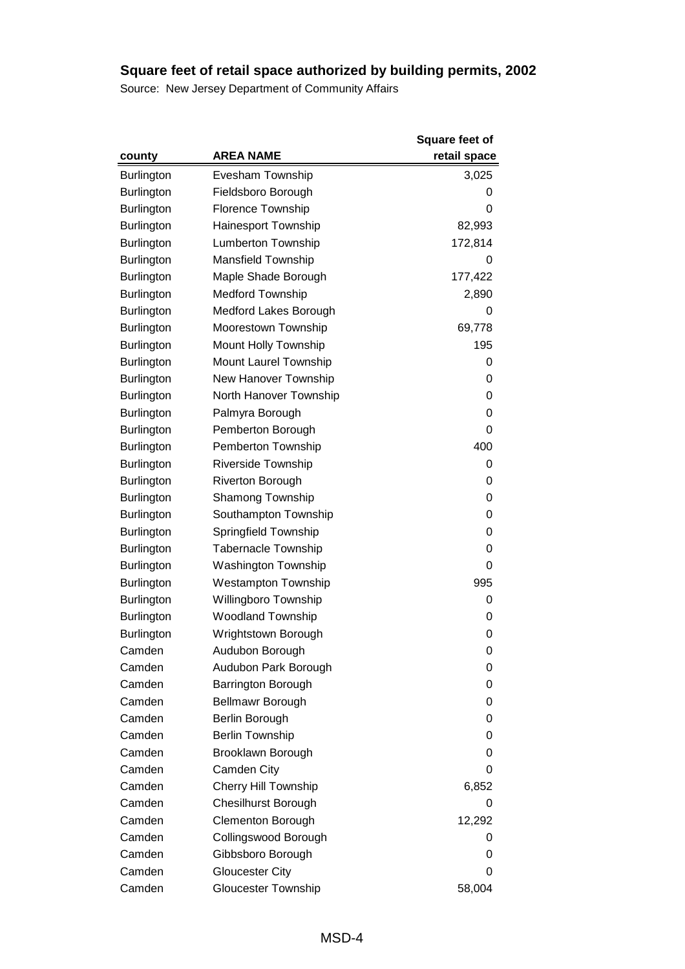|                   |                             | <b>Square feet of</b> |
|-------------------|-----------------------------|-----------------------|
| county            | <b>AREA NAME</b>            | retail space          |
| <b>Burlington</b> | Evesham Township            | 3,025                 |
| <b>Burlington</b> | Fieldsboro Borough          | 0                     |
| <b>Burlington</b> | Florence Township           | 0                     |
| <b>Burlington</b> | Hainesport Township         | 82,993                |
| <b>Burlington</b> | Lumberton Township          | 172,814               |
| <b>Burlington</b> | <b>Mansfield Township</b>   | 0                     |
| <b>Burlington</b> | Maple Shade Borough         | 177,422               |
| <b>Burlington</b> | <b>Medford Township</b>     | 2,890                 |
| <b>Burlington</b> | Medford Lakes Borough       | 0                     |
| <b>Burlington</b> | Moorestown Township         | 69,778                |
| <b>Burlington</b> | Mount Holly Township        | 195                   |
| <b>Burlington</b> | Mount Laurel Township       | 0                     |
| <b>Burlington</b> | New Hanover Township        | 0                     |
| <b>Burlington</b> | North Hanover Township      | 0                     |
| <b>Burlington</b> | Palmyra Borough             | 0                     |
| <b>Burlington</b> | Pemberton Borough           | 0                     |
| <b>Burlington</b> | Pemberton Township          | 400                   |
| <b>Burlington</b> | Riverside Township          | 0                     |
| <b>Burlington</b> | Riverton Borough            | 0                     |
| <b>Burlington</b> | <b>Shamong Township</b>     | 0                     |
| <b>Burlington</b> | Southampton Township        | 0                     |
| <b>Burlington</b> | Springfield Township        | 0                     |
| Burlington        | <b>Tabernacle Township</b>  | 0                     |
| <b>Burlington</b> | Washington Township         | 0                     |
| <b>Burlington</b> | <b>Westampton Township</b>  | 995                   |
| <b>Burlington</b> | Willingboro Township        | 0                     |
| <b>Burlington</b> | <b>Woodland Township</b>    | 0                     |
| <b>Burlington</b> | Wrightstown Borough         | 0                     |
| Camden            | Audubon Borough             | 0                     |
| Camden            | Audubon Park Borough        | 0                     |
| Camden            | Barrington Borough          | 0                     |
| Camden            | Bellmawr Borough            | 0                     |
| Camden            | Berlin Borough              | 0                     |
| Camden            | <b>Berlin Township</b>      | 0                     |
| Camden            | Brooklawn Borough           | 0                     |
| Camden            | Camden City                 | 0                     |
| Camden            | <b>Cherry Hill Township</b> | 6,852                 |
| Camden            | <b>Chesilhurst Borough</b>  | 0                     |
| Camden            | <b>Clementon Borough</b>    | 12,292                |
| Camden            | Collingswood Borough        | 0                     |
| Camden            | Gibbsboro Borough           | 0                     |
| Camden            | <b>Gloucester City</b>      | 0                     |
| Camden            | <b>Gloucester Township</b>  | 58,004                |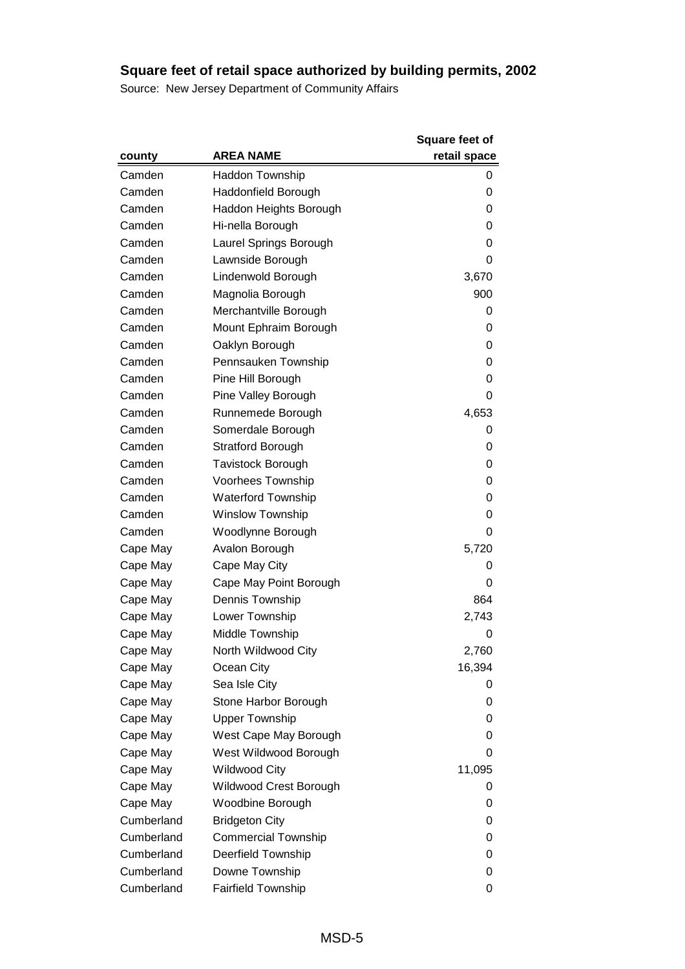|            |                            | <b>Square feet of</b> |
|------------|----------------------------|-----------------------|
| county     | <b>AREA NAME</b>           | retail space          |
| Camden     | <b>Haddon Township</b>     | 0                     |
| Camden     | Haddonfield Borough        | 0                     |
| Camden     | Haddon Heights Borough     | 0                     |
| Camden     | Hi-nella Borough           | 0                     |
| Camden     | Laurel Springs Borough     | 0                     |
| Camden     | Lawnside Borough           | 0                     |
| Camden     | Lindenwold Borough         | 3,670                 |
| Camden     | Magnolia Borough           | 900                   |
| Camden     | Merchantville Borough      | 0                     |
| Camden     | Mount Ephraim Borough      | 0                     |
| Camden     | Oaklyn Borough             | 0                     |
| Camden     | Pennsauken Township        | 0                     |
| Camden     | Pine Hill Borough          | 0                     |
| Camden     | Pine Valley Borough        | 0                     |
| Camden     | Runnemede Borough          | 4,653                 |
| Camden     | Somerdale Borough          | 0                     |
| Camden     | <b>Stratford Borough</b>   | 0                     |
| Camden     | <b>Tavistock Borough</b>   | 0                     |
| Camden     | Voorhees Township          | 0                     |
| Camden     | <b>Waterford Township</b>  | 0                     |
| Camden     | <b>Winslow Township</b>    | 0                     |
| Camden     | Woodlynne Borough          | 0                     |
| Cape May   | Avalon Borough             | 5,720                 |
| Cape May   | Cape May City              | 0                     |
| Cape May   | Cape May Point Borough     | 0                     |
| Cape May   | Dennis Township            | 864                   |
| Cape May   | Lower Township             | 2,743                 |
| Cape May   | Middle Township            | 0                     |
| Cape May   | North Wildwood City        | 2,760                 |
| Cape May   | Ocean City                 | 16,394                |
| Cape May   | Sea Isle City              | 0                     |
| Cape May   | Stone Harbor Borough       | 0                     |
| Cape May   | <b>Upper Township</b>      | 0                     |
| Cape May   | West Cape May Borough      | 0                     |
| Cape May   | West Wildwood Borough      | 0                     |
| Cape May   | <b>Wildwood City</b>       | 11,095                |
| Cape May   | Wildwood Crest Borough     | 0                     |
| Cape May   | Woodbine Borough           | 0                     |
| Cumberland | <b>Bridgeton City</b>      | 0                     |
| Cumberland | <b>Commercial Township</b> | 0                     |
| Cumberland | <b>Deerfield Township</b>  | 0                     |
| Cumberland | Downe Township             | 0                     |
| Cumberland | <b>Fairfield Township</b>  | 0                     |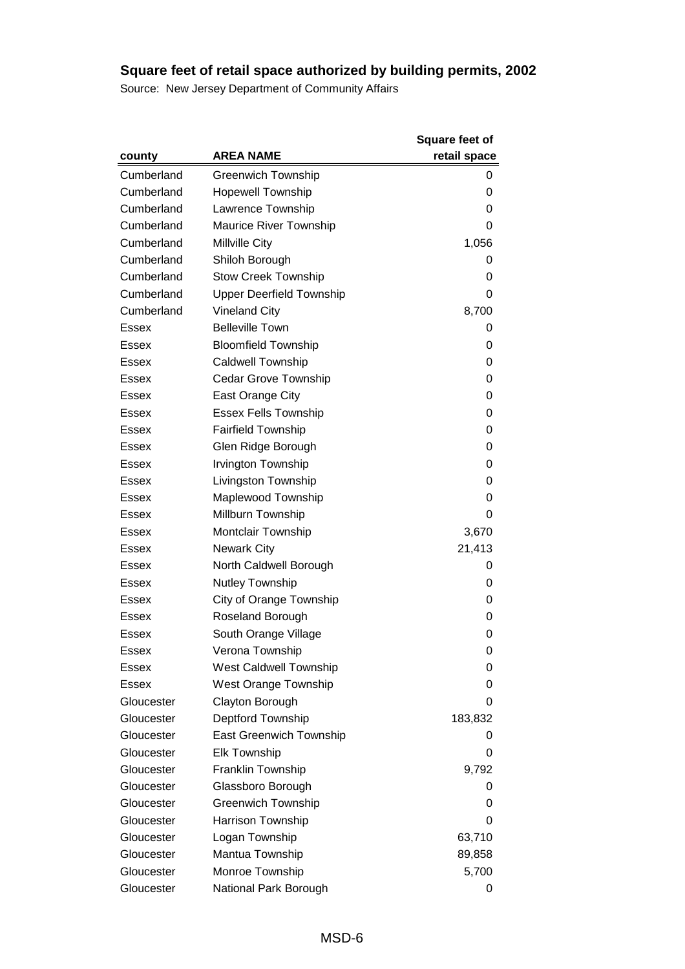|              |                                 | <b>Square feet of</b> |
|--------------|---------------------------------|-----------------------|
| county       | <b>AREA NAME</b>                | retail space          |
| Cumberland   | <b>Greenwich Township</b>       | 0                     |
| Cumberland   | <b>Hopewell Township</b>        | 0                     |
| Cumberland   | Lawrence Township               | 0                     |
| Cumberland   | <b>Maurice River Township</b>   | 0                     |
| Cumberland   | Millville City                  | 1,056                 |
| Cumberland   | Shiloh Borough                  | 0                     |
| Cumberland   | <b>Stow Creek Township</b>      | 0                     |
| Cumberland   | <b>Upper Deerfield Township</b> | 0                     |
| Cumberland   | <b>Vineland City</b>            | 8,700                 |
| Essex        | <b>Belleville Town</b>          | 0                     |
| <b>Essex</b> | <b>Bloomfield Township</b>      | 0                     |
| <b>Essex</b> | <b>Caldwell Township</b>        | 0                     |
| <b>Essex</b> | <b>Cedar Grove Township</b>     | 0                     |
| <b>Essex</b> | East Orange City                | 0                     |
| Essex        | <b>Essex Fells Township</b>     | 0                     |
| Essex        | <b>Fairfield Township</b>       | 0                     |
| Essex        | Glen Ridge Borough              | 0                     |
| Essex        | Irvington Township              | 0                     |
| <b>Essex</b> | Livingston Township             | 0                     |
| <b>Essex</b> | Maplewood Township              | 0                     |
| Essex        | Millburn Township               | 0                     |
| <b>Essex</b> | <b>Montclair Township</b>       | 3,670                 |
| <b>Essex</b> | <b>Newark City</b>              | 21,413                |
| <b>Essex</b> | North Caldwell Borough          | 0                     |
| <b>Essex</b> | <b>Nutley Township</b>          | 0                     |
| Essex        | City of Orange Township         | 0                     |
| <b>Essex</b> | Roseland Borough                | 0                     |
| Essex        | South Orange Village            | 0                     |
| Essex        | Verona Township                 | 0                     |
| Essex        | <b>West Caldwell Township</b>   | 0                     |
| <b>Essex</b> | <b>West Orange Township</b>     | 0                     |
| Gloucester   | Clayton Borough                 | 0                     |
| Gloucester   | Deptford Township               | 183,832               |
| Gloucester   | <b>East Greenwich Township</b>  | 0                     |
| Gloucester   | <b>Elk Township</b>             | 0                     |
| Gloucester   | Franklin Township               | 9,792                 |
| Gloucester   | Glassboro Borough               | 0                     |
| Gloucester   | <b>Greenwich Township</b>       | 0                     |
| Gloucester   | Harrison Township               | 0                     |
| Gloucester   | Logan Township                  | 63,710                |
| Gloucester   | Mantua Township                 | 89,858                |
| Gloucester   | Monroe Township                 | 5,700                 |
| Gloucester   | National Park Borough           | 0                     |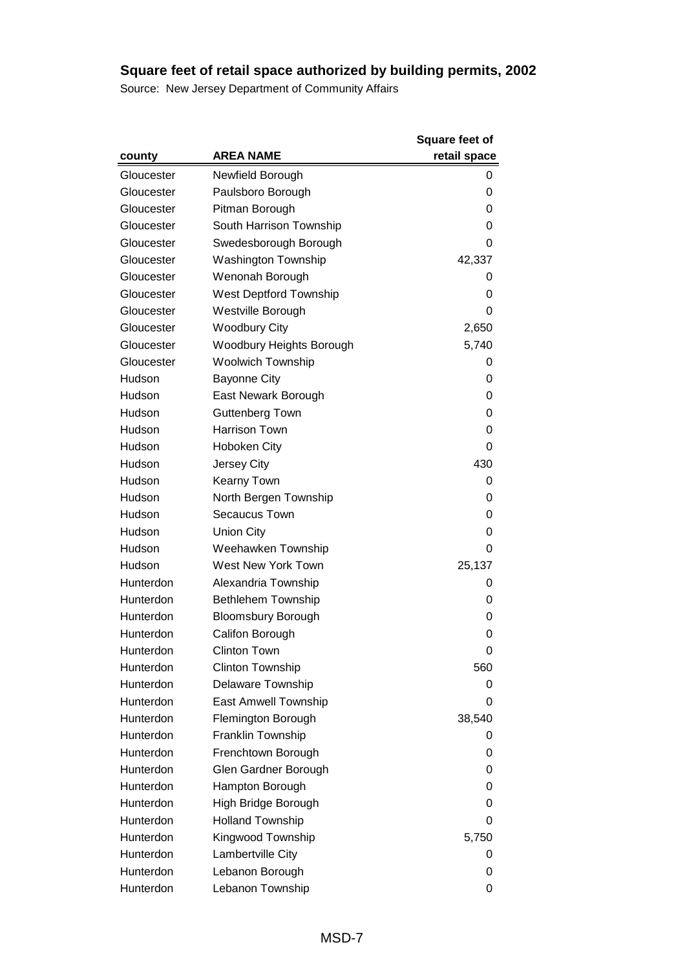|            |                               | <b>Square feet of</b> |
|------------|-------------------------------|-----------------------|
| county     | <b>AREA NAME</b>              | retail space          |
| Gloucester | Newfield Borough              | 0                     |
| Gloucester | Paulsboro Borough             | 0                     |
| Gloucester | Pitman Borough                | 0                     |
| Gloucester | South Harrison Township       | 0                     |
| Gloucester | Swedesborough Borough         | 0                     |
| Gloucester | <b>Washington Township</b>    | 42,337                |
| Gloucester | Wenonah Borough               | 0                     |
| Gloucester | <b>West Deptford Township</b> | 0                     |
| Gloucester | Westville Borough             | 0                     |
| Gloucester | <b>Woodbury City</b>          | 2,650                 |
| Gloucester | Woodbury Heights Borough      | 5,740                 |
| Gloucester | <b>Woolwich Township</b>      | 0                     |
| Hudson     | <b>Bayonne City</b>           | 0                     |
| Hudson     | East Newark Borough           | 0                     |
| Hudson     | Guttenberg Town               | 0                     |
| Hudson     | Harrison Town                 | 0                     |
| Hudson     | <b>Hoboken City</b>           | 0                     |
| Hudson     | Jersey City                   | 430                   |
| Hudson     | Kearny Town                   | 0                     |
| Hudson     | North Bergen Township         | 0                     |
| Hudson     | <b>Secaucus Town</b>          | 0                     |
| Hudson     | <b>Union City</b>             | 0                     |
| Hudson     | Weehawken Township            | 0                     |
| Hudson     | West New York Town            | 25,137                |
| Hunterdon  | Alexandria Township           | 0                     |
| Hunterdon  | <b>Bethlehem Township</b>     | 0                     |
| Hunterdon  | <b>Bloomsbury Borough</b>     | 0                     |
| Hunterdon  | Califon Borough               | 0                     |
| Hunterdon  | <b>Clinton Town</b>           | 0                     |
| Hunterdon  | <b>Clinton Township</b>       | 560                   |
| Hunterdon  | Delaware Township             | 0                     |
| Hunterdon  | East Amwell Township          | 0                     |
| Hunterdon  | Flemington Borough            | 38,540                |
| Hunterdon  | Franklin Township             | 0                     |
| Hunterdon  | Frenchtown Borough            | 0                     |
| Hunterdon  | Glen Gardner Borough          | 0                     |
| Hunterdon  | Hampton Borough               | 0                     |
| Hunterdon  | High Bridge Borough           | 0                     |
| Hunterdon  | <b>Holland Township</b>       | 0                     |
| Hunterdon  | Kingwood Township             | 5,750                 |
| Hunterdon  | Lambertville City             | 0                     |
| Hunterdon  | Lebanon Borough               | 0                     |
| Hunterdon  | Lebanon Township              | 0                     |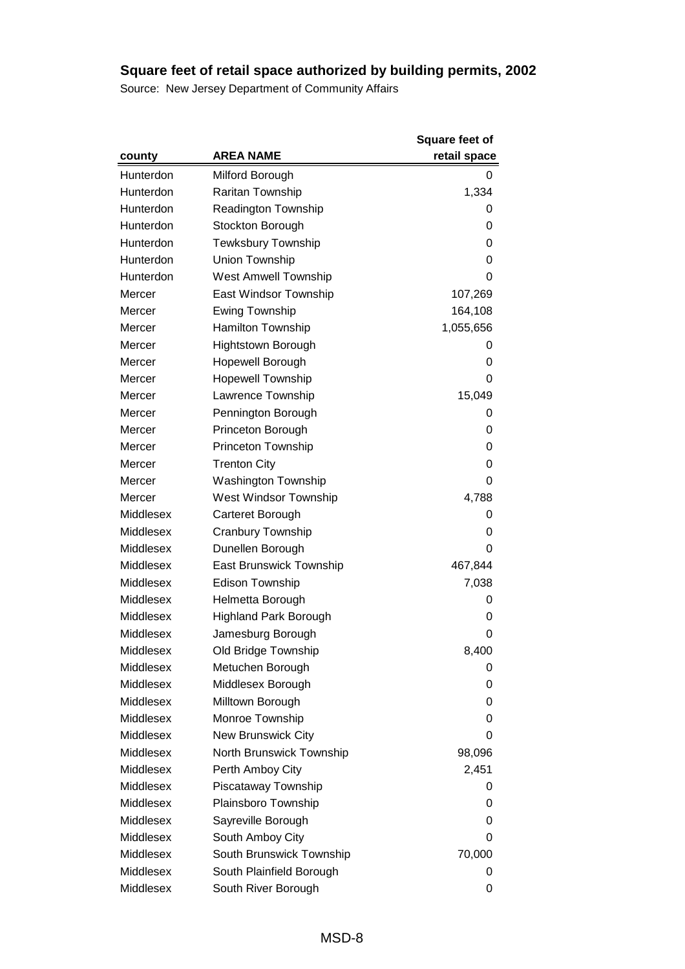|           |                              | <b>Square feet of</b> |
|-----------|------------------------------|-----------------------|
| county    | <b>AREA NAME</b>             | retail space          |
| Hunterdon | Milford Borough              | 0                     |
| Hunterdon | <b>Raritan Township</b>      | 1,334                 |
| Hunterdon | <b>Readington Township</b>   | 0                     |
| Hunterdon | Stockton Borough             | 0                     |
| Hunterdon | <b>Tewksbury Township</b>    | 0                     |
| Hunterdon | Union Township               | 0                     |
| Hunterdon | <b>West Amwell Township</b>  | 0                     |
| Mercer    | East Windsor Township        | 107,269               |
| Mercer    | <b>Ewing Township</b>        | 164,108               |
| Mercer    | Hamilton Township            | 1,055,656             |
| Mercer    | <b>Hightstown Borough</b>    | 0                     |
| Mercer    | Hopewell Borough             | 0                     |
| Mercer    | <b>Hopewell Township</b>     | 0                     |
| Mercer    | Lawrence Township            | 15,049                |
| Mercer    | Pennington Borough           | 0                     |
| Mercer    | Princeton Borough            | 0                     |
| Mercer    | Princeton Township           | 0                     |
| Mercer    | <b>Trenton City</b>          | 0                     |
| Mercer    | <b>Washington Township</b>   | 0                     |
| Mercer    | West Windsor Township        | 4,788                 |
| Middlesex | Carteret Borough             | 0                     |
| Middlesex | Cranbury Township            | 0                     |
| Middlesex | Dunellen Borough             | 0                     |
| Middlesex | East Brunswick Township      | 467,844               |
| Middlesex | <b>Edison Township</b>       | 7,038                 |
| Middlesex | Helmetta Borough             | 0                     |
| Middlesex | <b>Highland Park Borough</b> | 0                     |
| Middlesex | Jamesburg Borough            | 0                     |
| Middlesex | Old Bridge Township          | 8,400                 |
| Middlesex | Metuchen Borough             | 0                     |
| Middlesex | Middlesex Borough            | 0                     |
| Middlesex | Milltown Borough             | 0                     |
| Middlesex | Monroe Township              | 0                     |
| Middlesex | <b>New Brunswick City</b>    | 0                     |
| Middlesex | North Brunswick Township     | 98,096                |
| Middlesex | Perth Amboy City             | 2,451                 |
| Middlesex | Piscataway Township          | 0                     |
| Middlesex | Plainsboro Township          | 0                     |
| Middlesex | Sayreville Borough           | 0                     |
| Middlesex | South Amboy City             | 0                     |
| Middlesex | South Brunswick Township     | 70,000                |
| Middlesex | South Plainfield Borough     | 0                     |
| Middlesex | South River Borough          | 0                     |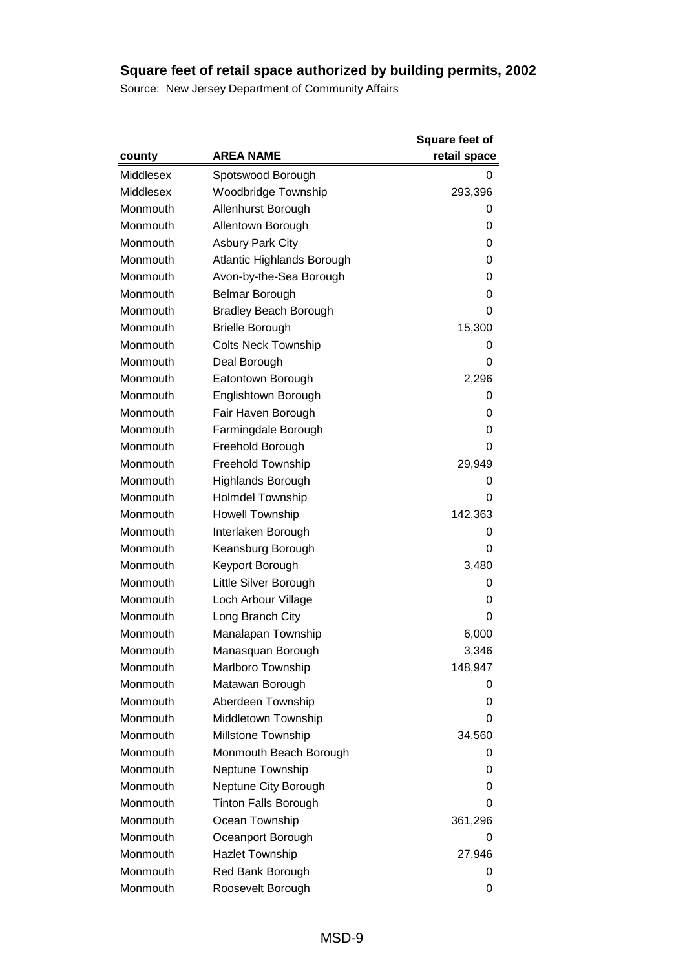|           |                              | <b>Square feet of</b> |
|-----------|------------------------------|-----------------------|
| county    | <b>AREA NAME</b>             | retail space          |
| Middlesex | Spotswood Borough            | 0                     |
| Middlesex | Woodbridge Township          | 293,396               |
| Monmouth  | Allenhurst Borough           | 0                     |
| Monmouth  | Allentown Borough            | 0                     |
| Monmouth  | <b>Asbury Park City</b>      | 0                     |
| Monmouth  | Atlantic Highlands Borough   | 0                     |
| Monmouth  | Avon-by-the-Sea Borough      | 0                     |
| Monmouth  | Belmar Borough               | 0                     |
| Monmouth  | <b>Bradley Beach Borough</b> | 0                     |
| Monmouth  | <b>Brielle Borough</b>       | 15,300                |
| Monmouth  | <b>Colts Neck Township</b>   | 0                     |
| Monmouth  | Deal Borough                 | 0                     |
| Monmouth  | Eatontown Borough            | 2,296                 |
| Monmouth  | Englishtown Borough          | 0                     |
| Monmouth  | Fair Haven Borough           | 0                     |
| Monmouth  | Farmingdale Borough          | 0                     |
| Monmouth  | Freehold Borough             | 0                     |
| Monmouth  | Freehold Township            | 29,949                |
| Monmouth  | Highlands Borough            | 0                     |
| Monmouth  | <b>Holmdel Township</b>      | 0                     |
| Monmouth  | <b>Howell Township</b>       | 142,363               |
| Monmouth  | Interlaken Borough           | 0                     |
| Monmouth  | Keansburg Borough            | 0                     |
| Monmouth  | Keyport Borough              | 3,480                 |
| Monmouth  | Little Silver Borough        | 0                     |
| Monmouth  | Loch Arbour Village          | 0                     |
| Monmouth  | Long Branch City             | 0                     |
| Monmouth  | Manalapan Township           | 6,000                 |
| Monmouth  | Manasquan Borough            | 3,346                 |
| Monmouth  | Marlboro Township            | 148,947               |
| Monmouth  | Matawan Borough              | 0                     |
| Monmouth  | Aberdeen Township            | 0                     |
| Monmouth  | Middletown Township          | 0                     |
| Monmouth  | Millstone Township           | 34,560                |
| Monmouth  | Monmouth Beach Borough       | 0                     |
| Monmouth  | Neptune Township             | 0                     |
| Monmouth  | Neptune City Borough         | 0                     |
| Monmouth  | <b>Tinton Falls Borough</b>  | 0                     |
| Monmouth  | Ocean Township               | 361,296               |
| Monmouth  | Oceanport Borough            | 0                     |
| Monmouth  | <b>Hazlet Township</b>       | 27,946                |
| Monmouth  | Red Bank Borough             | 0                     |
| Monmouth  | Roosevelt Borough            | 0                     |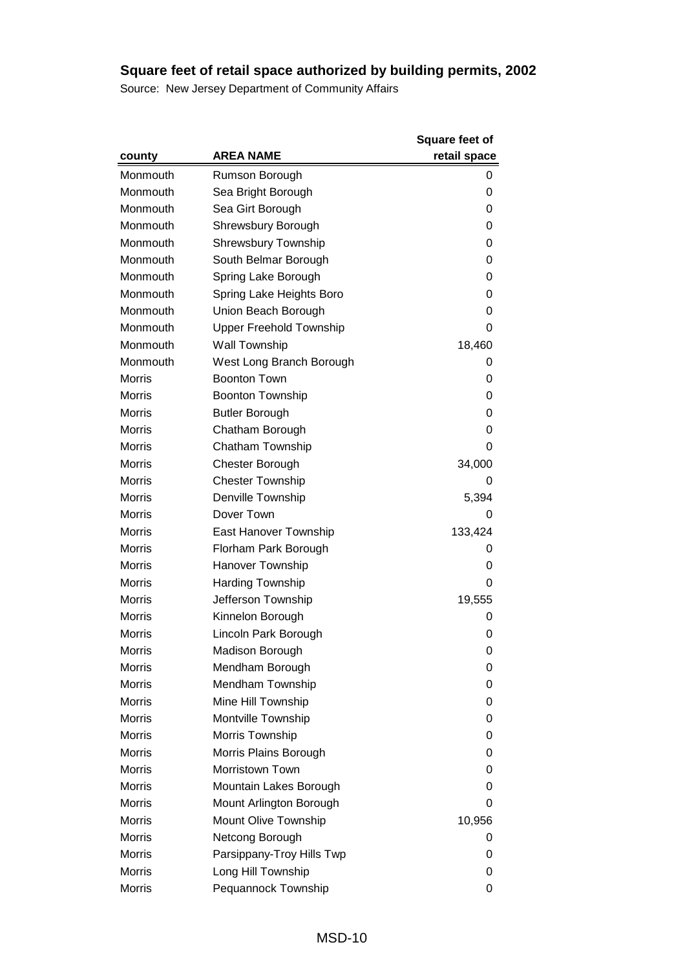|               |                                | <b>Square feet of</b> |
|---------------|--------------------------------|-----------------------|
| county        | <b>AREA NAME</b>               | retail space          |
| Monmouth      | Rumson Borough                 | 0                     |
| Monmouth      | Sea Bright Borough             | 0                     |
| Monmouth      | Sea Girt Borough               | 0                     |
| Monmouth      | Shrewsbury Borough             | 0                     |
| Monmouth      | <b>Shrewsbury Township</b>     | 0                     |
| Monmouth      | South Belmar Borough           | 0                     |
| Monmouth      | Spring Lake Borough            | 0                     |
| Monmouth      | Spring Lake Heights Boro       | 0                     |
| Monmouth      | Union Beach Borough            | 0                     |
| Monmouth      | <b>Upper Freehold Township</b> | 0                     |
| Monmouth      | Wall Township                  | 18,460                |
| Monmouth      | West Long Branch Borough       | 0                     |
| <b>Morris</b> | <b>Boonton Town</b>            | 0                     |
| <b>Morris</b> | <b>Boonton Township</b>        | 0                     |
| <b>Morris</b> | <b>Butler Borough</b>          | 0                     |
| <b>Morris</b> | Chatham Borough                | 0                     |
| <b>Morris</b> | Chatham Township               | 0                     |
| <b>Morris</b> | <b>Chester Borough</b>         | 34,000                |
| <b>Morris</b> | <b>Chester Township</b>        | 0                     |
| <b>Morris</b> | Denville Township              | 5,394                 |
| <b>Morris</b> | Dover Town                     | 0                     |
| <b>Morris</b> | East Hanover Township          | 133,424               |
| <b>Morris</b> | Florham Park Borough           | 0                     |
| <b>Morris</b> | Hanover Township               | 0                     |
| <b>Morris</b> | <b>Harding Township</b>        | 0                     |
| <b>Morris</b> | Jefferson Township             | 19,555                |
| <b>Morris</b> | Kinnelon Borough               | 0                     |
| <b>Morris</b> | Lincoln Park Borough           | 0                     |
| Morris        | Madison Borough                | 0                     |
| Morris        | Mendham Borough                | 0                     |
| <b>Morris</b> | Mendham Township               | 0                     |
| <b>Morris</b> | Mine Hill Township             | 0                     |
| <b>Morris</b> | Montville Township             | 0                     |
| <b>Morris</b> | Morris Township                | 0                     |
| <b>Morris</b> | Morris Plains Borough          | 0                     |
| <b>Morris</b> | Morristown Town                | 0                     |
| <b>Morris</b> | Mountain Lakes Borough         | 0                     |
| <b>Morris</b> | Mount Arlington Borough        | 0                     |
| <b>Morris</b> | Mount Olive Township           | 10,956                |
| <b>Morris</b> | Netcong Borough                | 0                     |
| <b>Morris</b> | Parsippany-Troy Hills Twp      | 0                     |
| <b>Morris</b> | Long Hill Township             | 0                     |
| <b>Morris</b> | Pequannock Township            | 0                     |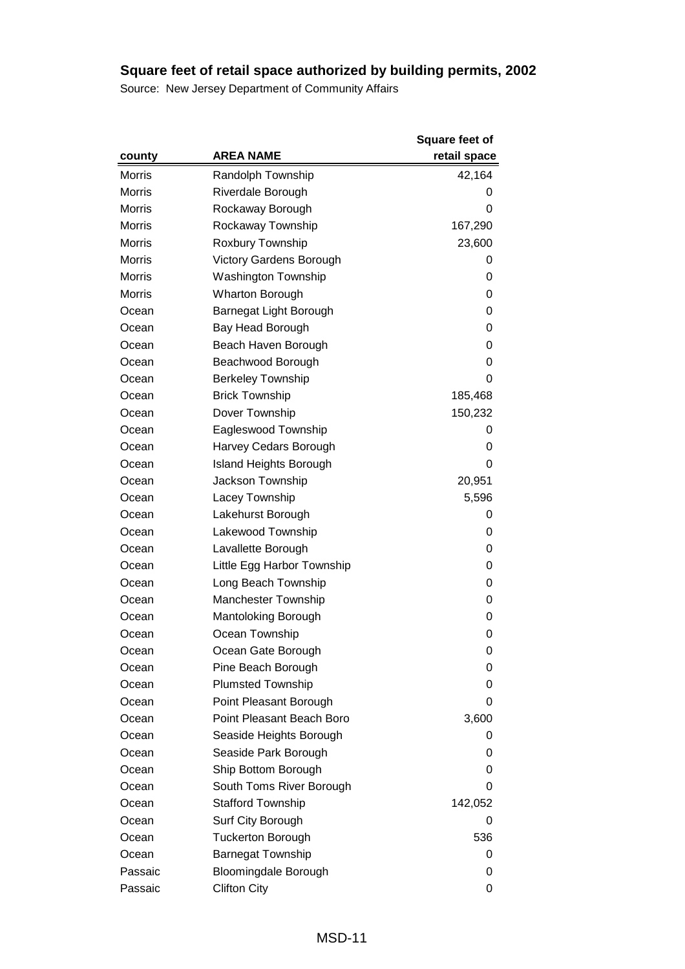|               |                                | <b>Square feet of</b> |
|---------------|--------------------------------|-----------------------|
| county        | AREA NAME                      | retail space          |
| <b>Morris</b> | Randolph Township              | 42,164                |
| <b>Morris</b> | Riverdale Borough              | O                     |
| <b>Morris</b> | Rockaway Borough               | 0                     |
| <b>Morris</b> | Rockaway Township              | 167,290               |
| <b>Morris</b> | Roxbury Township               | 23,600                |
| <b>Morris</b> | <b>Victory Gardens Borough</b> | 0                     |
| <b>Morris</b> | <b>Washington Township</b>     | 0                     |
| <b>Morris</b> | <b>Wharton Borough</b>         | 0                     |
| Ocean         | Barnegat Light Borough         | 0                     |
| Ocean         | Bay Head Borough               | 0                     |
| Ocean         | Beach Haven Borough            | 0                     |
| Ocean         | Beachwood Borough              | 0                     |
| Ocean         | <b>Berkeley Township</b>       | 0                     |
| Ocean         | <b>Brick Township</b>          | 185,468               |
| Ocean         | Dover Township                 | 150,232               |
| Ocean         | Eagleswood Township            | 0                     |
| Ocean         | Harvey Cedars Borough          | 0                     |
| Ocean         | <b>Island Heights Borough</b>  | 0                     |
| Ocean         | Jackson Township               | 20,951                |
| Ocean         | Lacey Township                 | 5,596                 |
| Ocean         | Lakehurst Borough              | 0                     |
| Ocean         | Lakewood Township              | 0                     |
| Ocean         | Lavallette Borough             | 0                     |
| Ocean         | Little Egg Harbor Township     | 0                     |
| Ocean         | Long Beach Township            | 0                     |
| Ocean         | Manchester Township            | 0                     |
| Ocean         | Mantoloking Borough            | 0                     |
| Ocean         | Ocean Township                 | 0                     |
| Ocean         | Ocean Gate Borough             | 0                     |
| Ocean         | Pine Beach Borough             | 0                     |
| Ocean         | <b>Plumsted Township</b>       | 0                     |
| Ocean         | Point Pleasant Borough         | 0                     |
| Ocean         | Point Pleasant Beach Boro      | 3,600                 |
| Ocean         | Seaside Heights Borough        | 0                     |
| Ocean         | Seaside Park Borough           | 0                     |
| Ocean         | Ship Bottom Borough            | 0                     |
| Ocean         | South Toms River Borough       | 0                     |
| Ocean         | <b>Stafford Township</b>       | 142,052               |
| Ocean         | Surf City Borough              | 0                     |
| Ocean         | <b>Tuckerton Borough</b>       | 536                   |
| Ocean         | <b>Barnegat Township</b>       | 0                     |
| Passaic       | Bloomingdale Borough           | 0                     |
| Passaic       | <b>Clifton City</b>            | 0                     |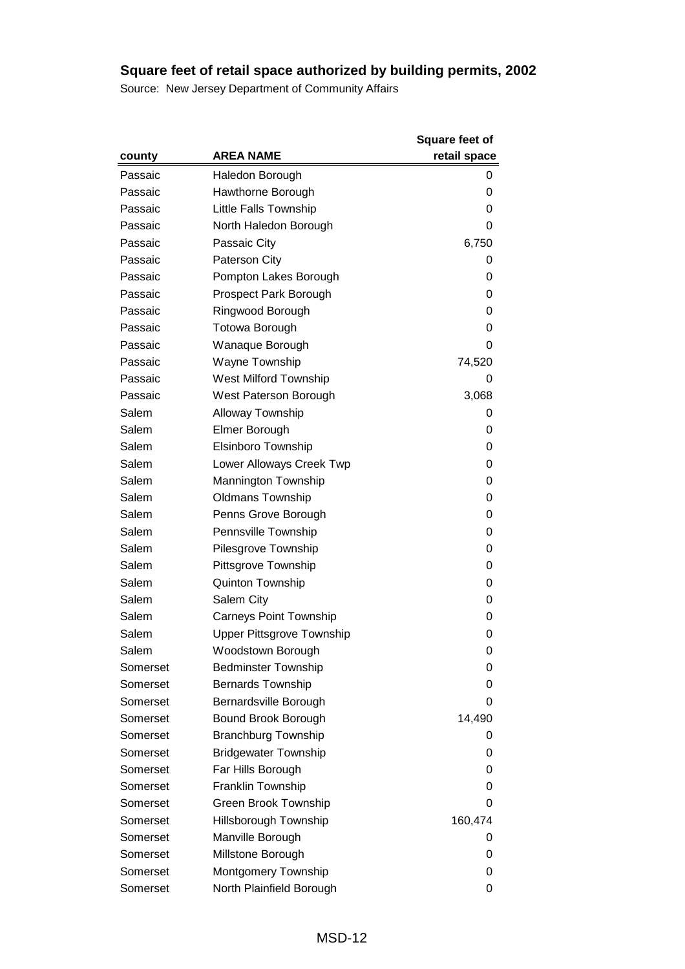|          |                               | <b>Square feet of</b> |
|----------|-------------------------------|-----------------------|
| county   | <b>AREA NAME</b>              | retail space          |
| Passaic  | Haledon Borough               | 0                     |
| Passaic  | Hawthorne Borough             | 0                     |
| Passaic  | Little Falls Township         | 0                     |
| Passaic  | North Haledon Borough         | 0                     |
| Passaic  | Passaic City                  | 6,750                 |
| Passaic  | <b>Paterson City</b>          | 0                     |
| Passaic  | Pompton Lakes Borough         | 0                     |
| Passaic  | Prospect Park Borough         | 0                     |
| Passaic  | Ringwood Borough              | 0                     |
| Passaic  | <b>Totowa Borough</b>         | 0                     |
| Passaic  | Wanaque Borough               | 0                     |
| Passaic  | Wayne Township                | 74,520                |
| Passaic  | <b>West Milford Township</b>  | 0                     |
| Passaic  | West Paterson Borough         | 3,068                 |
| Salem    | <b>Alloway Township</b>       | 0                     |
| Salem    | Elmer Borough                 | 0                     |
| Salem    | Elsinboro Township            | 0                     |
| Salem    | Lower Alloways Creek Twp      | 0                     |
| Salem    | Mannington Township           | 0                     |
| Salem    | <b>Oldmans Township</b>       | 0                     |
| Salem    | Penns Grove Borough           | 0                     |
| Salem    | Pennsville Township           | 0                     |
| Salem    | Pilesgrove Township           | 0                     |
| Salem    | Pittsgrove Township           | 0                     |
| Salem    | <b>Quinton Township</b>       | 0                     |
| Salem    | Salem City                    | 0                     |
| Salem    | <b>Carneys Point Township</b> | 0                     |
| Salem    | Upper Pittsgrove Township     | 0                     |
| Salem    | Woodstown Borough             | 0                     |
| Somerset | <b>Bedminster Township</b>    | 0                     |
| Somerset | <b>Bernards Township</b>      | 0                     |
| Somerset | Bernardsville Borough         | 0                     |
| Somerset | Bound Brook Borough           | 14,490                |
| Somerset | <b>Branchburg Township</b>    | 0                     |
| Somerset | <b>Bridgewater Township</b>   | 0                     |
| Somerset | Far Hills Borough             | O                     |
| Somerset | Franklin Township             | 0                     |
| Somerset | Green Brook Township          | 0                     |
| Somerset | Hillsborough Township         | 160,474               |
| Somerset | Manville Borough              | 0                     |
| Somerset | Millstone Borough             | 0                     |
| Somerset | Montgomery Township           | 0                     |
| Somerset | North Plainfield Borough      | 0                     |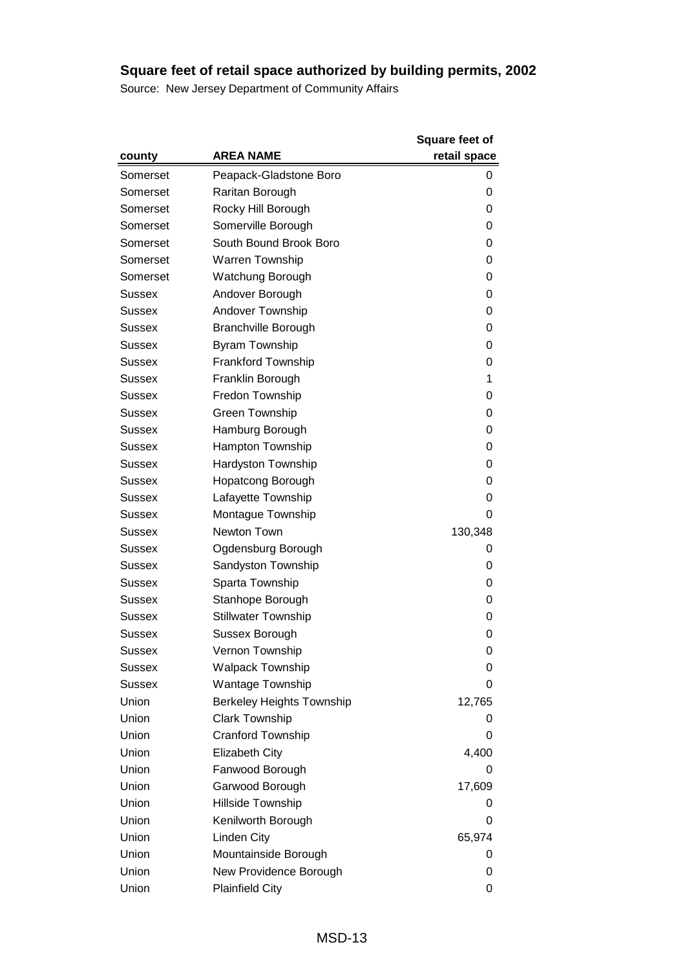|               |                                  | <b>Square feet of</b> |
|---------------|----------------------------------|-----------------------|
| county        | <b>AREA NAME</b>                 | retail space          |
| Somerset      | Peapack-Gladstone Boro           | 0                     |
| Somerset      | Raritan Borough                  | 0                     |
| Somerset      | Rocky Hill Borough               | 0                     |
| Somerset      | Somerville Borough               | 0                     |
| Somerset      | South Bound Brook Boro           | 0                     |
| Somerset      | <b>Warren Township</b>           | 0                     |
| Somerset      | Watchung Borough                 | 0                     |
| Sussex        | Andover Borough                  | 0                     |
| <b>Sussex</b> | Andover Township                 | 0                     |
| Sussex        | <b>Branchville Borough</b>       | 0                     |
| Sussex        | Byram Township                   | 0                     |
| Sussex        | <b>Frankford Township</b>        | 0                     |
| Sussex        | Franklin Borough                 | 1                     |
| <b>Sussex</b> | Fredon Township                  | 0                     |
| Sussex        | Green Township                   | 0                     |
| Sussex        | Hamburg Borough                  | 0                     |
| Sussex        | Hampton Township                 | 0                     |
| Sussex        | Hardyston Township               | 0                     |
| Sussex        | <b>Hopatcong Borough</b>         | 0                     |
| Sussex        | Lafayette Township               | 0                     |
| Sussex        | Montague Township                | 0                     |
| Sussex        | Newton Town                      | 130,348               |
| Sussex        | Ogdensburg Borough               | 0                     |
| Sussex        | Sandyston Township               | 0                     |
| Sussex        | Sparta Township                  | 0                     |
| Sussex        | Stanhope Borough                 | 0                     |
| Sussex        | <b>Stillwater Township</b>       | 0                     |
| Sussex        | Sussex Borough                   | 0                     |
| Sussex        | Vernon Township                  | 0                     |
| Sussex        | <b>Walpack Township</b>          | 0                     |
| <b>Sussex</b> | <b>Wantage Township</b>          | 0                     |
| Union         | <b>Berkeley Heights Township</b> | 12,765                |
| Union         | <b>Clark Township</b>            | 0                     |
| Union         | <b>Cranford Township</b>         | 0                     |
| Union         | <b>Elizabeth City</b>            | 4,400                 |
| Union         | Fanwood Borough                  | 0                     |
| Union         | Garwood Borough                  | 17,609                |
| Union         | Hillside Township                | 0                     |
| Union         | Kenilworth Borough               | 0                     |
| Union         | Linden City                      | 65,974                |
| Union         | Mountainside Borough             | 0                     |
| Union         | New Providence Borough           | 0                     |
| Union         | <b>Plainfield City</b>           | 0                     |